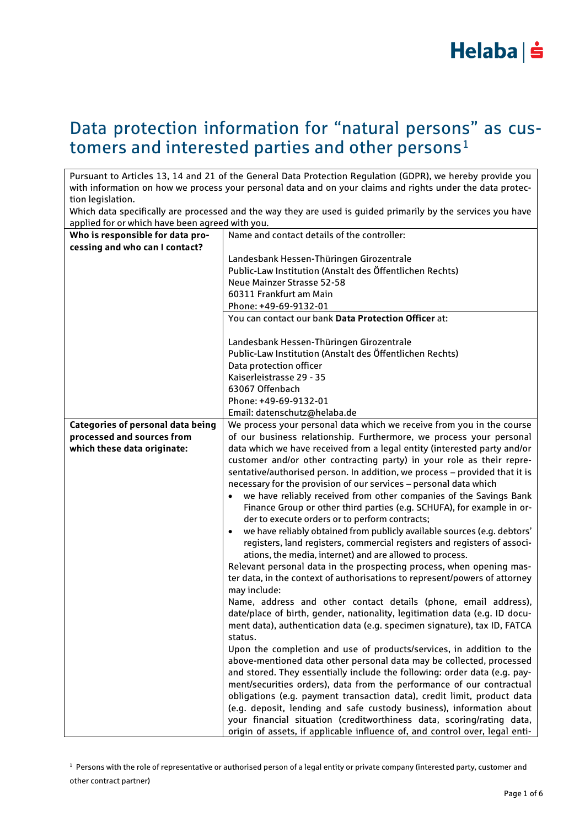

### Data protection information for "natural persons" as customers and interested parties and other persons<sup>1</sup>

Pursuant to Articles 13, 14 and 21 of the General Data Protection Regulation (GDPR), we hereby provide you with information on how we process your personal data and on your claims and rights under the data protection legislation.

Which data specifically are processed and the way they are used is guided primarily by the services you have applied for or which have been agreed with you.

| Who is responsible for data pro-  | Name and contact details of the controller:                                           |
|-----------------------------------|---------------------------------------------------------------------------------------|
| cessing and who can I contact?    |                                                                                       |
|                                   | Landesbank Hessen-Thüringen Girozentrale                                              |
|                                   | Public-Law Institution (Anstalt des Öffentlichen Rechts)                              |
|                                   | Neue Mainzer Strasse 52-58                                                            |
|                                   | 60311 Frankfurt am Main                                                               |
|                                   | Phone: +49-69-9132-01                                                                 |
|                                   | You can contact our bank Data Protection Officer at:                                  |
|                                   | Landesbank Hessen-Thüringen Girozentrale                                              |
|                                   | Public-Law Institution (Anstalt des Öffentlichen Rechts)                              |
|                                   | Data protection officer                                                               |
|                                   | Kaiserleistrasse 29 - 35                                                              |
|                                   | 63067 Offenbach                                                                       |
|                                   | Phone: +49-69-9132-01                                                                 |
|                                   | Email: datenschutz@helaba.de                                                          |
| Categories of personal data being | We process your personal data which we receive from you in the course                 |
| processed and sources from        | of our business relationship. Furthermore, we process your personal                   |
| which these data originate:       | data which we have received from a legal entity (interested party and/or              |
|                                   | customer and/or other contracting party) in your role as their repre-                 |
|                                   | sentative/authorised person. In addition, we process - provided that it is            |
|                                   | necessary for the provision of our services - personal data which                     |
|                                   | we have reliably received from other companies of the Savings Bank                    |
|                                   | Finance Group or other third parties (e.g. SCHUFA), for example in or-                |
|                                   | der to execute orders or to perform contracts;                                        |
|                                   | we have reliably obtained from publicly available sources (e.g. debtors'<br>$\bullet$ |
|                                   | registers, land registers, commercial registers and registers of associ-              |
|                                   | ations, the media, internet) and are allowed to process.                              |
|                                   | Relevant personal data in the prospecting process, when opening mas-                  |
|                                   | ter data, in the context of authorisations to represent/powers of attorney            |
|                                   | may include:                                                                          |
|                                   | Name, address and other contact details (phone, email address),                       |
|                                   | date/place of birth, gender, nationality, legitimation data (e.g. ID docu-            |
|                                   | ment data), authentication data (e.g. specimen signature), tax ID, FATCA              |
|                                   | status.                                                                               |
|                                   | Upon the completion and use of products/services, in addition to the                  |
|                                   | above-mentioned data other personal data may be collected, processed                  |
|                                   | and stored. They essentially include the following: order data (e.g. pay-             |
|                                   | ment/securities orders), data from the performance of our contractual                 |
|                                   | obligations (e.g. payment transaction data), credit limit, product data               |
|                                   | (e.g. deposit, lending and safe custody business), information about                  |
|                                   | your financial situation (creditworthiness data, scoring/rating data,                 |
|                                   | origin of assets, if applicable influence of, and control over, legal enti-           |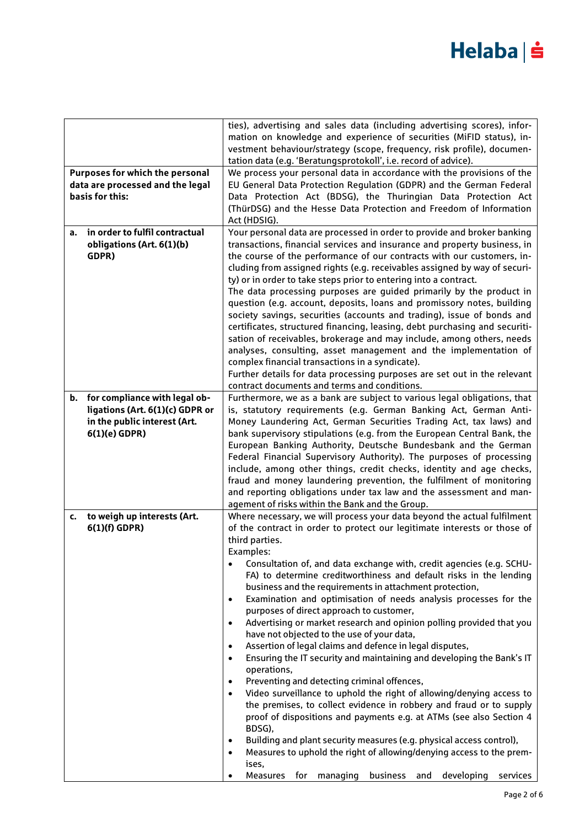|                                      | ties), advertising and sales data (including advertising scores), infor-<br>mation on knowledge and experience of securities (MiFID status), in-    |
|--------------------------------------|-----------------------------------------------------------------------------------------------------------------------------------------------------|
|                                      | vestment behaviour/strategy (scope, frequency, risk profile), documen-                                                                              |
|                                      | tation data (e.g. 'Beratungsprotokoll', i.e. record of advice).                                                                                     |
| Purposes for which the personal      | We process your personal data in accordance with the provisions of the                                                                              |
| data are processed and the legal     | EU General Data Protection Regulation (GDPR) and the German Federal                                                                                 |
| basis for this:                      | Data Protection Act (BDSG), the Thuringian Data Protection Act<br>(ThürDSG) and the Hesse Data Protection and Freedom of Information                |
|                                      | Act (HDSIG).                                                                                                                                        |
| in order to fulfil contractual<br>a. | Your personal data are processed in order to provide and broker banking                                                                             |
| obligations (Art. 6(1)(b)            | transactions, financial services and insurance and property business, in                                                                            |
| GDPR)                                | the course of the performance of our contracts with our customers, in-<br>cluding from assigned rights (e.g. receivables assigned by way of securi- |
|                                      | ty) or in order to take steps prior to entering into a contract.                                                                                    |
|                                      | The data processing purposes are guided primarily by the product in                                                                                 |
|                                      | question (e.g. account, deposits, loans and promissory notes, building                                                                              |
|                                      | society savings, securities (accounts and trading), issue of bonds and                                                                              |
|                                      | certificates, structured financing, leasing, debt purchasing and securiti-                                                                          |
|                                      | sation of receivables, brokerage and may include, among others, needs                                                                               |
|                                      | analyses, consulting, asset management and the implementation of                                                                                    |
|                                      | complex financial transactions in a syndicate).<br>Further details for data processing purposes are set out in the relevant                         |
|                                      | contract documents and terms and conditions.                                                                                                        |
| for compliance with legal ob-<br>b.  | Furthermore, we as a bank are subject to various legal obligations, that                                                                            |
| ligations (Art. 6(1)(c) GDPR or      | is, statutory requirements (e.g. German Banking Act, German Anti-                                                                                   |
| in the public interest (Art.         | Money Laundering Act, German Securities Trading Act, tax laws) and                                                                                  |
| 6(1)(e) GDPR)                        | bank supervisory stipulations (e.g. from the European Central Bank, the                                                                             |
|                                      | European Banking Authority, Deutsche Bundesbank and the German<br>Federal Financial Supervisory Authority). The purposes of processing              |
|                                      | include, among other things, credit checks, identity and age checks,                                                                                |
|                                      | fraud and money laundering prevention, the fulfilment of monitoring                                                                                 |
|                                      | and reporting obligations under tax law and the assessment and man-                                                                                 |
|                                      | agement of risks within the Bank and the Group.                                                                                                     |
| to weigh up interests (Art.<br>c.    | Where necessary, we will process your data beyond the actual fulfilment                                                                             |
| $6(1)(f)$ GDPR)                      | of the contract in order to protect our legitimate interests or those of                                                                            |
|                                      | third parties.<br>Examples:                                                                                                                         |
|                                      | Consultation of, and data exchange with, credit agencies (e.g. SCHU-                                                                                |
|                                      | FA) to determine creditworthiness and default risks in the lending                                                                                  |
|                                      | business and the requirements in attachment protection,                                                                                             |
|                                      | Examination and optimisation of needs analysis processes for the<br>$\bullet$                                                                       |
|                                      | purposes of direct approach to customer,                                                                                                            |
|                                      | Advertising or market research and opinion polling provided that you<br>$\bullet$                                                                   |
|                                      | have not objected to the use of your data,<br>Assertion of legal claims and defence in legal disputes,<br>$\bullet$                                 |
|                                      | Ensuring the IT security and maintaining and developing the Bank's IT<br>$\bullet$                                                                  |
|                                      | operations,                                                                                                                                         |
|                                      | Preventing and detecting criminal offences,<br>$\bullet$                                                                                            |
|                                      | Video surveillance to uphold the right of allowing/denying access to<br>$\bullet$                                                                   |
|                                      | the premises, to collect evidence in robbery and fraud or to supply                                                                                 |
|                                      | proof of dispositions and payments e.g. at ATMs (see also Section 4                                                                                 |
|                                      | BDSG),<br>Building and plant security measures (e.g. physical access control),<br>$\bullet$                                                         |
|                                      | Measures to uphold the right of allowing/denying access to the prem-<br>$\bullet$                                                                   |
|                                      | ises,                                                                                                                                               |
|                                      | Measures for managing business and developing services                                                                                              |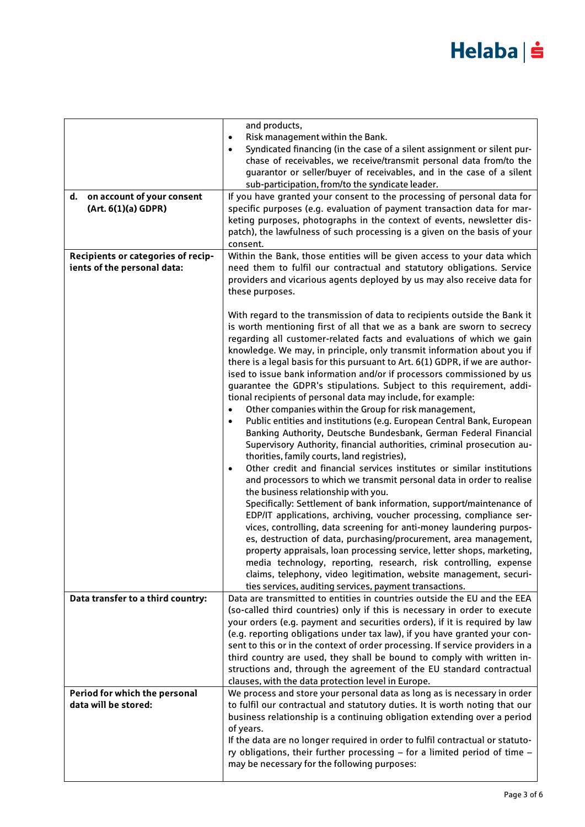|                                                                   | and products,<br>Risk management within the Bank.<br>$\bullet$<br>Syndicated financing (in the case of a silent assignment or silent pur-<br>chase of receivables, we receive/transmit personal data from/to the<br>quarantor or seller/buyer of receivables, and in the case of a silent<br>sub-participation, from/to the syndicate leader.                                                                                                                                                                                                                                                                                                                                                                                                                                                                                                                                                                                                                                                                                                                                                                                                                                                                                                                                                                                                                                                                                                                                                                                                                                                                                                                                                                                               |
|-------------------------------------------------------------------|---------------------------------------------------------------------------------------------------------------------------------------------------------------------------------------------------------------------------------------------------------------------------------------------------------------------------------------------------------------------------------------------------------------------------------------------------------------------------------------------------------------------------------------------------------------------------------------------------------------------------------------------------------------------------------------------------------------------------------------------------------------------------------------------------------------------------------------------------------------------------------------------------------------------------------------------------------------------------------------------------------------------------------------------------------------------------------------------------------------------------------------------------------------------------------------------------------------------------------------------------------------------------------------------------------------------------------------------------------------------------------------------------------------------------------------------------------------------------------------------------------------------------------------------------------------------------------------------------------------------------------------------------------------------------------------------------------------------------------------------|
| d.<br>on account of your consent<br>(Art. 6(1)(a) GDPR)           | If you have granted your consent to the processing of personal data for<br>specific purposes (e.g. evaluation of payment transaction data for mar-<br>keting purposes, photographs in the context of events, newsletter dis-<br>patch), the lawfulness of such processing is a given on the basis of your<br>consent.                                                                                                                                                                                                                                                                                                                                                                                                                                                                                                                                                                                                                                                                                                                                                                                                                                                                                                                                                                                                                                                                                                                                                                                                                                                                                                                                                                                                                       |
| Recipients or categories of recip-<br>ients of the personal data: | Within the Bank, those entities will be given access to your data which<br>need them to fulfil our contractual and statutory obligations. Service<br>providers and vicarious agents deployed by us may also receive data for<br>these purposes.                                                                                                                                                                                                                                                                                                                                                                                                                                                                                                                                                                                                                                                                                                                                                                                                                                                                                                                                                                                                                                                                                                                                                                                                                                                                                                                                                                                                                                                                                             |
|                                                                   | With regard to the transmission of data to recipients outside the Bank it<br>is worth mentioning first of all that we as a bank are sworn to secrecy<br>regarding all customer-related facts and evaluations of which we gain<br>knowledge. We may, in principle, only transmit information about you if<br>there is a legal basis for this pursuant to Art. 6(1) GDPR, if we are author-<br>ised to issue bank information and/or if processors commissioned by us<br>guarantee the GDPR's stipulations. Subject to this requirement, addi-<br>tional recipients of personal data may include, for example:<br>Other companies within the Group for risk management,<br>Public entities and institutions (e.g. European Central Bank, European<br>$\bullet$<br>Banking Authority, Deutsche Bundesbank, German Federal Financial<br>Supervisory Authority, financial authorities, criminal prosecution au-<br>thorities, family courts, land registries),<br>Other credit and financial services institutes or similar institutions<br>$\bullet$<br>and processors to which we transmit personal data in order to realise<br>the business relationship with you.<br>Specifically: Settlement of bank information, support/maintenance of<br>EDP/IT applications, archiving, voucher processing, compliance ser-<br>vices, controlling, data screening for anti-money laundering purpos-<br>es, destruction of data, purchasing/procurement, area management,<br>property appraisals, loan processing service, letter shops, marketing,<br>media technology, reporting, research, risk controlling, expense<br>claims, telephony, video legitimation, website management, securi-<br>ties services, auditing services, payment transactions. |
| Data transfer to a third country:                                 | Data are transmitted to entities in countries outside the EU and the EEA<br>(so-called third countries) only if this is necessary in order to execute<br>your orders (e.g. payment and securities orders), if it is required by law<br>(e.g. reporting obligations under tax law), if you have granted your con-<br>sent to this or in the context of order processing. If service providers in a<br>third country are used, they shall be bound to comply with written in-<br>structions and, through the agreement of the EU standard contractual<br>clauses, with the data protection level in Europe.                                                                                                                                                                                                                                                                                                                                                                                                                                                                                                                                                                                                                                                                                                                                                                                                                                                                                                                                                                                                                                                                                                                                   |
| Period for which the personal<br>data will be stored:             | We process and store your personal data as long as is necessary in order<br>to fulfil our contractual and statutory duties. It is worth noting that our<br>business relationship is a continuing obligation extending over a period<br>of years.<br>If the data are no longer required in order to fulfil contractual or statuto-<br>ry obligations, their further processing - for a limited period of time -<br>may be necessary for the following purposes:                                                                                                                                                                                                                                                                                                                                                                                                                                                                                                                                                                                                                                                                                                                                                                                                                                                                                                                                                                                                                                                                                                                                                                                                                                                                              |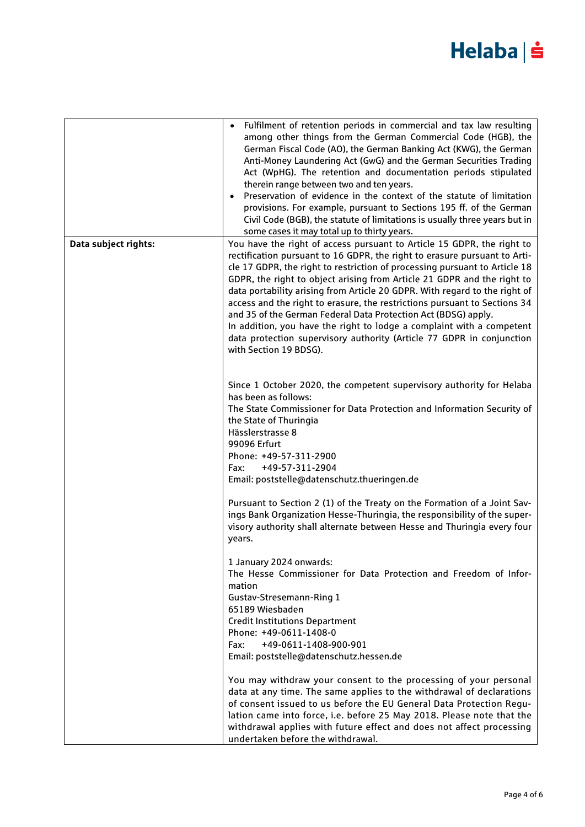|                      | Fulfilment of retention periods in commercial and tax law resulting<br>among other things from the German Commercial Code (HGB), the<br>German Fiscal Code (AO), the German Banking Act (KWG), the German<br>Anti-Money Laundering Act (GwG) and the German Securities Trading<br>Act (WpHG). The retention and documentation periods stipulated<br>therein range between two and ten years.<br>Preservation of evidence in the context of the statute of limitation<br>$\bullet$<br>provisions. For example, pursuant to Sections 195 ff. of the German<br>Civil Code (BGB), the statute of limitations is usually three years but in<br>some cases it may total up to thirty years. |
|----------------------|---------------------------------------------------------------------------------------------------------------------------------------------------------------------------------------------------------------------------------------------------------------------------------------------------------------------------------------------------------------------------------------------------------------------------------------------------------------------------------------------------------------------------------------------------------------------------------------------------------------------------------------------------------------------------------------|
| Data subject rights: | You have the right of access pursuant to Article 15 GDPR, the right to                                                                                                                                                                                                                                                                                                                                                                                                                                                                                                                                                                                                                |
|                      | rectification pursuant to 16 GDPR, the right to erasure pursuant to Arti-<br>cle 17 GDPR, the right to restriction of processing pursuant to Article 18<br>GDPR, the right to object arising from Article 21 GDPR and the right to<br>data portability arising from Article 20 GDPR. With regard to the right of<br>access and the right to erasure, the restrictions pursuant to Sections 34<br>and 35 of the German Federal Data Protection Act (BDSG) apply.<br>In addition, you have the right to lodge a complaint with a competent<br>data protection supervisory authority (Article 77 GDPR in conjunction<br>with Section 19 BDSG).                                           |
|                      | Since 1 October 2020, the competent supervisory authority for Helaba<br>has been as follows:<br>The State Commissioner for Data Protection and Information Security of<br>the State of Thuringia<br>Hässlerstrasse 8<br>99096 Erfurt                                                                                                                                                                                                                                                                                                                                                                                                                                                  |
|                      | Phone: +49-57-311-2900                                                                                                                                                                                                                                                                                                                                                                                                                                                                                                                                                                                                                                                                |
|                      | +49-57-311-2904<br>Fax:                                                                                                                                                                                                                                                                                                                                                                                                                                                                                                                                                                                                                                                               |
|                      | Email: poststelle@datenschutz.thueringen.de                                                                                                                                                                                                                                                                                                                                                                                                                                                                                                                                                                                                                                           |
|                      |                                                                                                                                                                                                                                                                                                                                                                                                                                                                                                                                                                                                                                                                                       |
|                      | Pursuant to Section 2 (1) of the Treaty on the Formation of a Joint Sav-<br>ings Bank Organization Hesse-Thuringia, the responsibility of the super-<br>visory authority shall alternate between Hesse and Thuringia every four<br>years.                                                                                                                                                                                                                                                                                                                                                                                                                                             |
|                      | 1 January 2024 onwards:<br>The Hesse Commissioner for Data Protection and Freedom of Infor-<br>mation                                                                                                                                                                                                                                                                                                                                                                                                                                                                                                                                                                                 |
|                      | Gustav-Stresemann-Ring 1                                                                                                                                                                                                                                                                                                                                                                                                                                                                                                                                                                                                                                                              |
|                      | 65189 Wiesbaden                                                                                                                                                                                                                                                                                                                                                                                                                                                                                                                                                                                                                                                                       |
|                      | <b>Credit Institutions Department</b>                                                                                                                                                                                                                                                                                                                                                                                                                                                                                                                                                                                                                                                 |
|                      | Phone: +49-0611-1408-0                                                                                                                                                                                                                                                                                                                                                                                                                                                                                                                                                                                                                                                                |
|                      | +49-0611-1408-900-901<br>Fax:<br>Email: poststelle@datenschutz.hessen.de                                                                                                                                                                                                                                                                                                                                                                                                                                                                                                                                                                                                              |
|                      | You may withdraw your consent to the processing of your personal<br>data at any time. The same applies to the withdrawal of declarations<br>of consent issued to us before the EU General Data Protection Regu-<br>lation came into force, i.e. before 25 May 2018. Please note that the<br>withdrawal applies with future effect and does not affect processing<br>undertaken before the withdrawal.                                                                                                                                                                                                                                                                                 |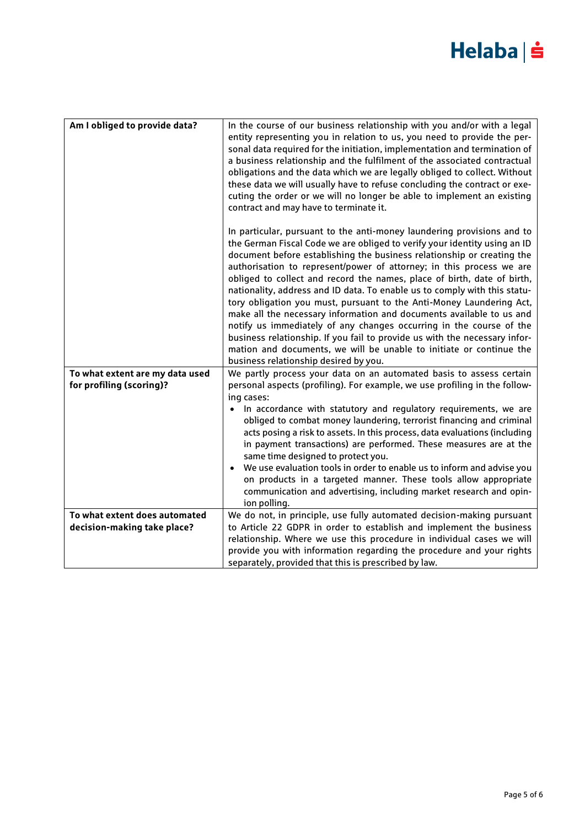| Am I obliged to provide data?                                | In the course of our business relationship with you and/or with a legal<br>entity representing you in relation to us, you need to provide the per-<br>sonal data required for the initiation, implementation and termination of<br>a business relationship and the fulfilment of the associated contractual<br>obligations and the data which we are legally obliged to collect. Without<br>these data we will usually have to refuse concluding the contract or exe-<br>cuting the order or we will no longer be able to implement an existing<br>contract and may have to terminate it.                                                                                                                                                                                                                                                                                          |
|--------------------------------------------------------------|------------------------------------------------------------------------------------------------------------------------------------------------------------------------------------------------------------------------------------------------------------------------------------------------------------------------------------------------------------------------------------------------------------------------------------------------------------------------------------------------------------------------------------------------------------------------------------------------------------------------------------------------------------------------------------------------------------------------------------------------------------------------------------------------------------------------------------------------------------------------------------|
|                                                              | In particular, pursuant to the anti-money laundering provisions and to<br>the German Fiscal Code we are obliged to verify your identity using an ID<br>document before establishing the business relationship or creating the<br>authorisation to represent/power of attorney; in this process we are<br>obliged to collect and record the names, place of birth, date of birth,<br>nationality, address and ID data. To enable us to comply with this statu-<br>tory obligation you must, pursuant to the Anti-Money Laundering Act,<br>make all the necessary information and documents available to us and<br>notify us immediately of any changes occurring in the course of the<br>business relationship. If you fail to provide us with the necessary infor-<br>mation and documents, we will be unable to initiate or continue the<br>business relationship desired by you. |
| To what extent are my data used<br>for profiling (scoring)?  | We partly process your data on an automated basis to assess certain<br>personal aspects (profiling). For example, we use profiling in the follow-<br>ing cases:<br>In accordance with statutory and regulatory requirements, we are<br>$\bullet$<br>obliged to combat money laundering, terrorist financing and criminal<br>acts posing a risk to assets. In this process, data evaluations (including<br>in payment transactions) are performed. These measures are at the<br>same time designed to protect you.<br>We use evaluation tools in order to enable us to inform and advise you<br>on products in a targeted manner. These tools allow appropriate<br>communication and advertising, including market research and opin-<br>ion polling.                                                                                                                               |
| To what extent does automated<br>decision-making take place? | We do not, in principle, use fully automated decision-making pursuant<br>to Article 22 GDPR in order to establish and implement the business<br>relationship. Where we use this procedure in individual cases we will<br>provide you with information regarding the procedure and your rights<br>separately, provided that this is prescribed by law.                                                                                                                                                                                                                                                                                                                                                                                                                                                                                                                              |